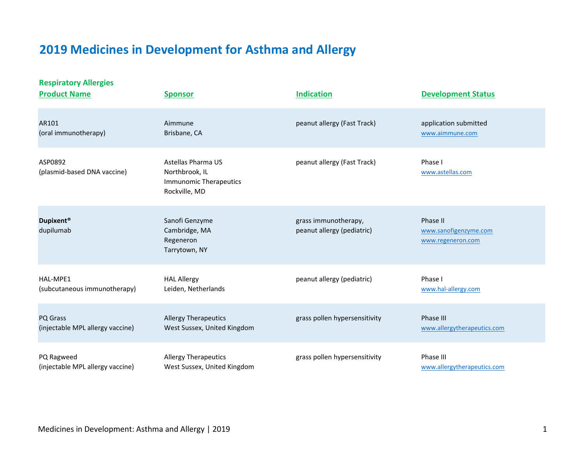# **2019 Medicines in Development for Asthma and Allergy**

**Respiratory Allergies**

| <b>Product Name</b>                    | <b>Sponsor</b>                                                                         | <b>Indication</b>                                  | <b>Development Status</b>                              |
|----------------------------------------|----------------------------------------------------------------------------------------|----------------------------------------------------|--------------------------------------------------------|
| AR101                                  | Aimmune                                                                                | peanut allergy (Fast Track)                        | application submitted                                  |
| (oral immunotherapy)                   | Brisbane, CA                                                                           |                                                    | www.aimmune.com                                        |
| ASP0892<br>(plasmid-based DNA vaccine) | Astellas Pharma US<br>Northbrook, IL<br><b>Immunomic Therapeutics</b><br>Rockville, MD | peanut allergy (Fast Track)                        | Phase I<br>www.astellas.com                            |
| <b>Dupixent®</b><br>dupilumab          | Sanofi Genzyme<br>Cambridge, MA<br>Regeneron<br>Tarrytown, NY                          | grass immunotherapy,<br>peanut allergy (pediatric) | Phase II<br>www.sanofigenzyme.com<br>www.regeneron.com |
| HAL-MPE1                               | <b>HAL Allergy</b>                                                                     | peanut allergy (pediatric)                         | Phase I                                                |
| (subcutaneous immunotherapy)           | Leiden, Netherlands                                                                    |                                                    | www.hal-allergy.com                                    |
| PQ Grass                               | <b>Allergy Therapeutics</b>                                                            | grass pollen hypersensitivity                      | Phase III                                              |
| (injectable MPL allergy vaccine)       | West Sussex, United Kingdom                                                            |                                                    | www.allergytherapeutics.com                            |
| PQ Ragweed                             | <b>Allergy Therapeutics</b>                                                            | grass pollen hypersensitivity                      | Phase III                                              |
| (injectable MPL allergy vaccine)       | West Sussex, United Kingdom                                                            |                                                    | www.allergytherapeutics.com                            |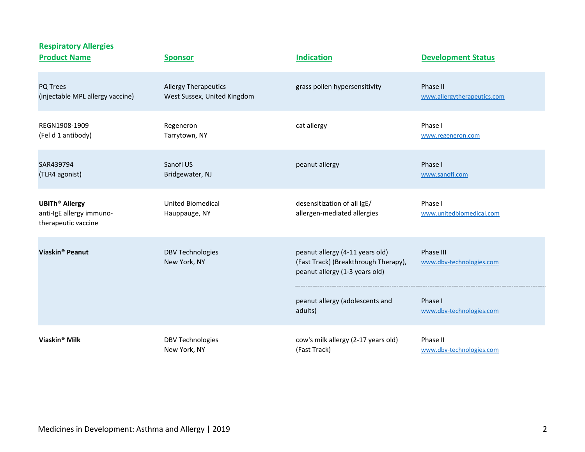| <b>Respiratory Allergies</b><br><b>Product Name</b>                                 | <b>Sponsor</b>                            | <b>Indication</b>                                                                                         | <b>Development Status</b>             |
|-------------------------------------------------------------------------------------|-------------------------------------------|-----------------------------------------------------------------------------------------------------------|---------------------------------------|
| PQ Trees                                                                            | <b>Allergy Therapeutics</b>               | grass pollen hypersensitivity                                                                             | Phase II                              |
| (injectable MPL allergy vaccine)                                                    | West Sussex, United Kingdom               |                                                                                                           | www.allergytherapeutics.com           |
| REGN1908-1909                                                                       | Regeneron                                 | cat allergy                                                                                               | Phase I                               |
| (Fel d 1 antibody)                                                                  | Tarrytown, NY                             |                                                                                                           | www.regeneron.com                     |
| SAR439794                                                                           | Sanofi US                                 | peanut allergy                                                                                            | Phase I                               |
| (TLR4 agonist)                                                                      | Bridgewater, NJ                           |                                                                                                           | www.sanofi.com                        |
| <b>UBITh<sup>®</sup> Allergy</b><br>anti-IgE allergy immuno-<br>therapeutic vaccine | <b>United Biomedical</b><br>Hauppauge, NY | desensitization of all IgE/<br>allergen-mediated allergies                                                | Phase I<br>www.unitedbiomedical.com   |
| Viaskin <sup>®</sup> Peanut                                                         | <b>DBV Technologies</b><br>New York, NY   | peanut allergy (4-11 years old)<br>(Fast Track) (Breakthrough Therapy),<br>peanut allergy (1-3 years old) | Phase III<br>www.dbv-technologies.com |
|                                                                                     |                                           | peanut allergy (adolescents and<br>adults)                                                                | Phase I<br>www.dbv-technologies.com   |
| Viaskin <sup>®</sup> Milk                                                           | <b>DBV Technologies</b>                   | cow's milk allergy (2-17 years old)                                                                       | Phase II                              |
|                                                                                     | New York, NY                              | (Fast Track)                                                                                              | www.dbv-technologies.com              |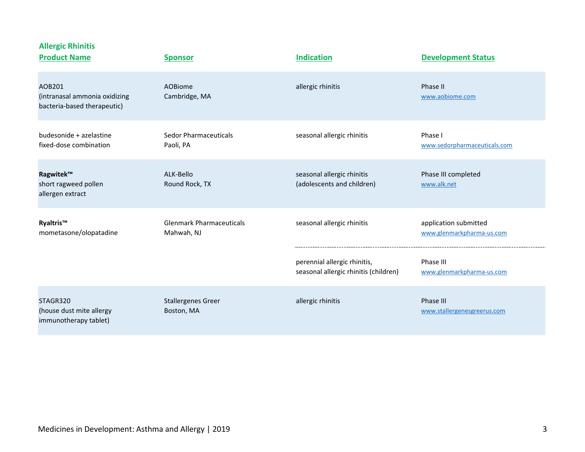| <b>Allergic Rhinitis</b><br><b>Product Name</b>                        | <b>Sponsor</b>                                | <b>Indication</b>                                                     | <b>Development Status</b>                          |
|------------------------------------------------------------------------|-----------------------------------------------|-----------------------------------------------------------------------|----------------------------------------------------|
| AOB201<br>(intranasal ammonia oxidizing<br>bacteria-based therapeutic) | <b>AOBiome</b><br>Cambridge, MA               | allergic rhinitis                                                     | Phase II<br>www.aobiome.com                        |
| budesonide + azelastine<br>fixed-dose combination                      | Sedor Pharmaceuticals<br>Paoli, PA            | seasonal allergic rhinitis                                            | Phase I<br>www.sedorpharmaceuticals.com            |
| Ragwitek™<br>short ragweed pollen<br>allergen extract                  | ALK-Bello<br>Round Rock, TX                   | seasonal allergic rhinitis<br>(adolescents and children)              | Phase III completed<br>www.alk.net                 |
| Ryaltris™<br>mometasone/olopatadine                                    | <b>Glenmark Pharmaceuticals</b><br>Mahwah, NJ | seasonal allergic rhinitis                                            | application submitted<br>www.glenmarkpharma-us.com |
|                                                                        |                                               | perennial allergic rhinitis,<br>seasonal allergic rhinitis (children) | Phase III<br>www.glenmarkpharma-us.com             |
| STAGR320<br>(house dust mite allergy<br>immunotherapy tablet)          | <b>Stallergenes Greer</b><br>Boston, MA       | allergic rhinitis                                                     | Phase III<br>www.stallergenesgreerus.com           |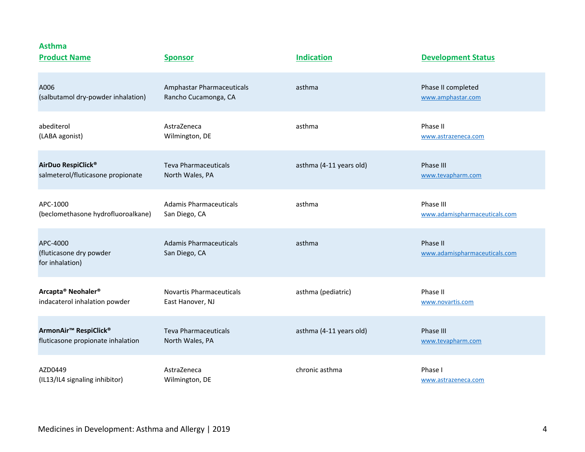| <b>Product Name</b>                                    | <b>Sponsor</b>                                 | <b>Indication</b>       | <b>Development Status</b>                 |
|--------------------------------------------------------|------------------------------------------------|-------------------------|-------------------------------------------|
| A006                                                   | Amphastar Pharmaceuticals                      | asthma                  | Phase II completed                        |
| (salbutamol dry-powder inhalation)                     | Rancho Cucamonga, CA                           |                         | www.amphastar.com                         |
| abediterol                                             | AstraZeneca                                    | asthma                  | Phase II                                  |
| (LABA agonist)                                         | Wilmington, DE                                 |                         | www.astrazeneca.com                       |
| AirDuo RespiClick®                                     | <b>Teva Pharmaceuticals</b>                    | asthma (4-11 years old) | Phase III                                 |
| salmeterol/fluticasone propionate                      | North Wales, PA                                |                         | www.tevapharm.com                         |
| APC-1000                                               | <b>Adamis Pharmaceuticals</b>                  | asthma                  | Phase III                                 |
| (beclomethasone hydrofluoroalkane)                     | San Diego, CA                                  |                         | www.adamispharmaceuticals.com             |
| APC-4000<br>(fluticasone dry powder<br>for inhalation) | <b>Adamis Pharmaceuticals</b><br>San Diego, CA | asthma                  | Phase II<br>www.adamispharmaceuticals.com |
| Arcapta® Neohaler®                                     | <b>Novartis Pharmaceuticals</b>                | asthma (pediatric)      | Phase II                                  |
| indacaterol inhalation powder                          | East Hanover, NJ                               |                         | www.novartis.com                          |
| ArmonAir <sup>™</sup> RespiClick <sup>®</sup>          | <b>Teva Pharmaceuticals</b>                    | asthma (4-11 years old) | Phase III                                 |
| fluticasone propionate inhalation                      | North Wales, PA                                |                         | www.tevapharm.com                         |
| AZD0449                                                | AstraZeneca                                    | chronic asthma          | Phase I                                   |
| (IL13/IL4 signaling inhibitor)                         | Wilmington, DE                                 |                         | www.astrazeneca.com                       |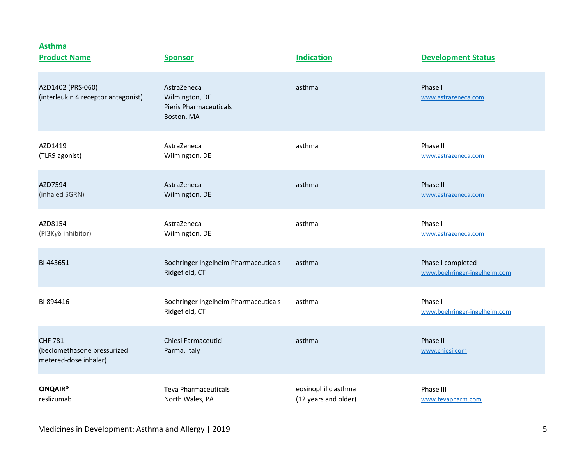| <b>Product Name</b>                                                    | <b>Sponsor</b>                                                               | <b>Indication</b>                           | <b>Development Status</b>                         |
|------------------------------------------------------------------------|------------------------------------------------------------------------------|---------------------------------------------|---------------------------------------------------|
| AZD1402 (PRS-060)<br>(interleukin 4 receptor antagonist)               | AstraZeneca<br>Wilmington, DE<br><b>Pieris Pharmaceuticals</b><br>Boston, MA | asthma                                      | Phase I<br>www.astrazeneca.com                    |
| AZD1419<br>(TLR9 agonist)                                              | AstraZeneca<br>Wilmington, DE                                                | asthma                                      | Phase II<br>www.astrazeneca.com                   |
| AZD7594<br>(inhaled SGRN)                                              | AstraZeneca<br>Wilmington, DE                                                | asthma                                      | Phase II<br>www.astrazeneca.com                   |
| AZD8154<br>(PI3Κγδ inhibitor)                                          | AstraZeneca<br>Wilmington, DE                                                | asthma                                      | Phase I<br>www.astrazeneca.com                    |
| BI 443651                                                              | Boehringer Ingelheim Pharmaceuticals<br>Ridgefield, CT                       | asthma                                      | Phase I completed<br>www.boehringer-ingelheim.com |
| BI 894416                                                              | Boehringer Ingelheim Pharmaceuticals<br>Ridgefield, CT                       | asthma                                      | Phase I<br>www.boehringer-ingelheim.com           |
| <b>CHF 781</b><br>(beclomethasone pressurized<br>metered-dose inhaler) | Chiesi Farmaceutici<br>Parma, Italy                                          | asthma                                      | Phase II<br>www.chiesi.com                        |
| <b>CINQAIR®</b><br>reslizumab                                          | <b>Teva Pharmaceuticals</b><br>North Wales, PA                               | eosinophilic asthma<br>(12 years and older) | Phase III<br>www.tevapharm.com                    |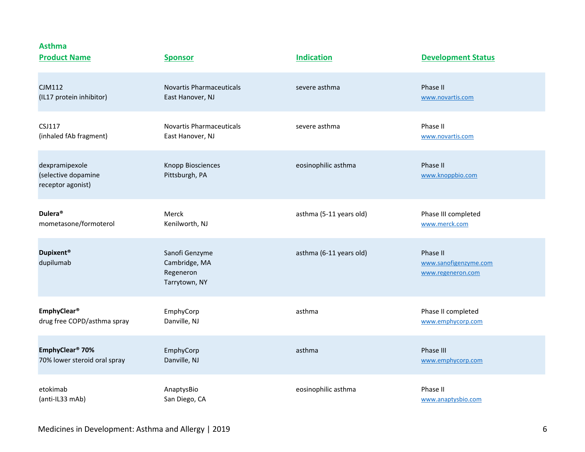| <b>Asthma</b><br><b>Product Name</b>                       | <b>Sponsor</b>                                                | <b>Indication</b>       | <b>Development Status</b>                              |
|------------------------------------------------------------|---------------------------------------------------------------|-------------------------|--------------------------------------------------------|
| <b>CJM112</b>                                              | <b>Novartis Pharmaceuticals</b>                               | severe asthma           | Phase II                                               |
| (IL17 protein inhibitor)                                   | East Hanover, NJ                                              |                         | www.novartis.com                                       |
| <b>CSJ117</b>                                              | <b>Novartis Pharmaceuticals</b>                               | severe asthma           | Phase II                                               |
| (inhaled fAb fragment)                                     | East Hanover, NJ                                              |                         | www.novartis.com                                       |
| dexpramipexole<br>(selective dopamine<br>receptor agonist) | Knopp Biosciences<br>Pittsburgh, PA                           | eosinophilic asthma     | Phase II<br>www.knoppbio.com                           |
| Dulera <sup>®</sup>                                        | Merck                                                         | asthma (5-11 years old) | Phase III completed                                    |
| mometasone/formoterol                                      | Kenilworth, NJ                                                |                         | www.merck.com                                          |
| <b>Dupixent®</b><br>dupilumab                              | Sanofi Genzyme<br>Cambridge, MA<br>Regeneron<br>Tarrytown, NY | asthma (6-11 years old) | Phase II<br>www.sanofigenzyme.com<br>www.regeneron.com |
| EmphyClear <sup>®</sup>                                    | EmphyCorp                                                     | asthma                  | Phase II completed                                     |
| drug free COPD/asthma spray                                | Danville, NJ                                                  |                         | www.emphycorp.com                                      |
| EmphyClear <sup>®</sup> 70%                                | EmphyCorp                                                     | asthma                  | Phase III                                              |
| 70% lower steroid oral spray                               | Danville, NJ                                                  |                         | www.emphycorp.com                                      |
| etokimab                                                   | AnaptysBio                                                    | eosinophilic asthma     | Phase II                                               |
| (anti-IL33 mAb)                                            | San Diego, CA                                                 |                         | www.anaptysbio.com                                     |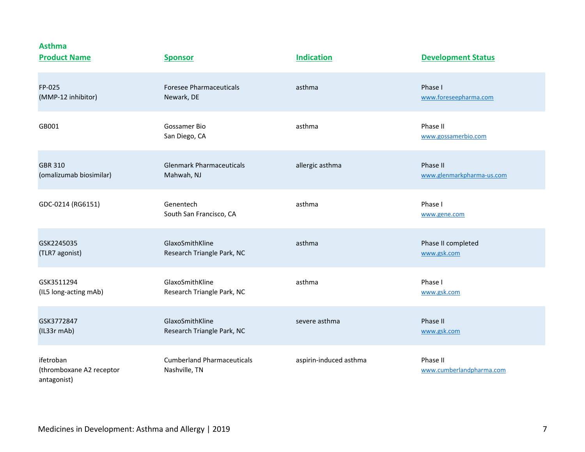**Asthma**

| <b>Product Name</b>                                  | <b>Sponsor</b>                                     | <b>Indication</b>      | <b>Development Status</b>            |
|------------------------------------------------------|----------------------------------------------------|------------------------|--------------------------------------|
| FP-025                                               | <b>Foresee Pharmaceuticals</b>                     | asthma                 | Phase I                              |
| (MMP-12 inhibitor)                                   | Newark, DE                                         |                        | www.foreseepharma.com                |
| GB001                                                | Gossamer Bio<br>San Diego, CA                      | asthma                 | Phase II<br>www.gossamerbio.com      |
| <b>GBR 310</b>                                       | <b>Glenmark Pharmaceuticals</b>                    | allergic asthma        | Phase II                             |
| (omalizumab biosimilar)                              | Mahwah, NJ                                         |                        | www.glenmarkpharma-us.com            |
| GDC-0214 (RG6151)                                    | Genentech<br>South San Francisco, CA               | asthma                 | Phase I<br>www.gene.com              |
| GSK2245035                                           | GlaxoSmithKline                                    | asthma                 | Phase II completed                   |
| (TLR7 agonist)                                       | Research Triangle Park, NC                         |                        | www.gsk.com                          |
| GSK3511294                                           | GlaxoSmithKline                                    | asthma                 | Phase I                              |
| (IL5 long-acting mAb)                                | Research Triangle Park, NC                         |                        | www.gsk.com                          |
| GSK3772847                                           | GlaxoSmithKline                                    | severe asthma          | Phase II                             |
| (IL33r mAb)                                          | Research Triangle Park, NC                         |                        | www.gsk.com                          |
| ifetroban<br>(thromboxane A2 receptor<br>antagonist) | <b>Cumberland Pharmaceuticals</b><br>Nashville, TN | aspirin-induced asthma | Phase II<br>www.cumberlandpharma.com |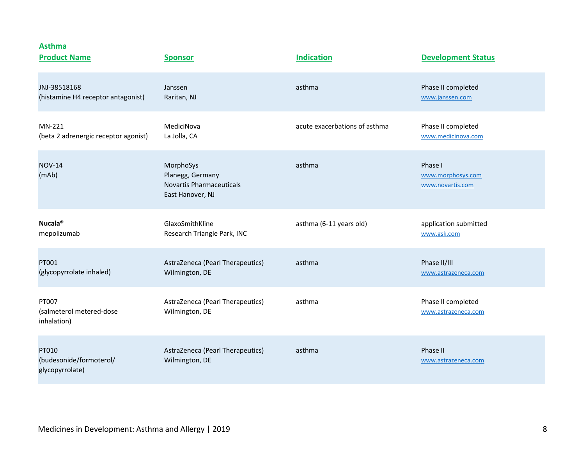**Asthma**

| <b>Product Name</b>                                 | <b>Sponsor</b>                                                                       | <b>Indication</b>             | <b>Development Status</b>                        |
|-----------------------------------------------------|--------------------------------------------------------------------------------------|-------------------------------|--------------------------------------------------|
| JNJ-38518168                                        | Janssen                                                                              | asthma                        | Phase II completed                               |
| (histamine H4 receptor antagonist)                  | Raritan, NJ                                                                          |                               | www.janssen.com                                  |
| MN-221                                              | MediciNova                                                                           | acute exacerbations of asthma | Phase II completed                               |
| (beta 2 adrenergic receptor agonist)                | La Jolla, CA                                                                         |                               | www.medicinova.com                               |
| <b>NOV-14</b><br>(mAb)                              | MorphoSys<br>Planegg, Germany<br><b>Novartis Pharmaceuticals</b><br>East Hanover, NJ | asthma                        | Phase I<br>www.morphosys.com<br>www.novartis.com |
| Nucala <sup>®</sup>                                 | GlaxoSmithKline                                                                      | asthma (6-11 years old)       | application submitted                            |
| mepolizumab                                         | Research Triangle Park, INC                                                          |                               | www.gsk.com                                      |
| PT001                                               | AstraZeneca (Pearl Therapeutics)                                                     | asthma                        | Phase II/III                                     |
| (glycopyrrolate inhaled)                            | Wilmington, DE                                                                       |                               | www.astrazeneca.com                              |
| PT007<br>(salmeterol metered-dose<br>inhalation)    | AstraZeneca (Pearl Therapeutics)<br>Wilmington, DE                                   | asthma                        | Phase II completed<br>www.astrazeneca.com        |
| PT010<br>(budesonide/formoterol/<br>glycopyrrolate) | AstraZeneca (Pearl Therapeutics)<br>Wilmington, DE                                   | asthma                        | Phase II<br>www.astrazeneca.com                  |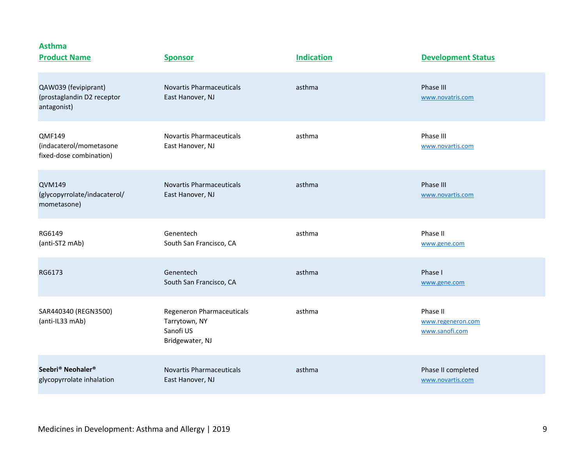| <b>Product Name</b>                                                    | <b>Sponsor</b>                                                             | <b>Indication</b> | <b>Development Status</b>                       |
|------------------------------------------------------------------------|----------------------------------------------------------------------------|-------------------|-------------------------------------------------|
| QAW039 (fevipiprant)<br>(prostaglandin D2 receptor<br>antagonist)      | <b>Novartis Pharmaceuticals</b><br>East Hanover, NJ                        | asthma            | Phase III<br>www.novatris.com                   |
| <b>QMF149</b><br>(indacaterol/mometasone<br>fixed-dose combination)    | <b>Novartis Pharmaceuticals</b><br>East Hanover, NJ                        | asthma            | Phase III<br>www.novartis.com                   |
| <b>QVM149</b><br>(glycopyrrolate/indacaterol/<br>mometasone)           | <b>Novartis Pharmaceuticals</b><br>East Hanover, NJ                        | asthma            | Phase III<br>www.novartis.com                   |
| RG6149<br>(anti-ST2 mAb)                                               | Genentech<br>South San Francisco, CA                                       | asthma            | Phase II<br>www.gene.com                        |
| RG6173                                                                 | Genentech<br>South San Francisco, CA                                       | asthma            | Phase I<br>www.gene.com                         |
| SAR440340 (REGN3500)<br>(anti-IL33 mAb)                                | Regeneron Pharmaceuticals<br>Tarrytown, NY<br>Sanofi US<br>Bridgewater, NJ | asthma            | Phase II<br>www.regeneron.com<br>www.sanofi.com |
| Seebri <sup>®</sup> Neohaler <sup>®</sup><br>glycopyrrolate inhalation | Novartis Pharmaceuticals<br>East Hanover, NJ                               | asthma            | Phase II completed<br>www.novartis.com          |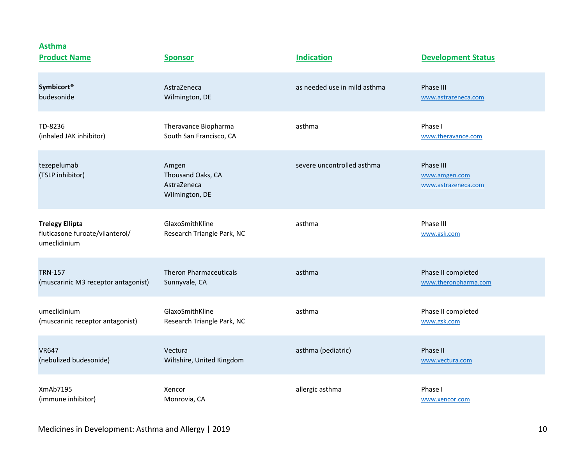| <b>Asthma</b><br><b>Product Name</b>                                      | <b>Sponsor</b>                                              | <b>Indication</b>            | <b>Development Status</b>                         |
|---------------------------------------------------------------------------|-------------------------------------------------------------|------------------------------|---------------------------------------------------|
| <b>Symbicort®</b>                                                         | AstraZeneca                                                 | as needed use in mild asthma | Phase III                                         |
| budesonide                                                                | Wilmington, DE                                              |                              | www.astrazeneca.com                               |
| TD-8236                                                                   | Theravance Biopharma                                        | asthma                       | Phase I                                           |
| (inhaled JAK inhibitor)                                                   | South San Francisco, CA                                     |                              | www.theravance.com                                |
| tezepelumab<br>(TSLP inhibitor)                                           | Amgen<br>Thousand Oaks, CA<br>AstraZeneca<br>Wilmington, DE | severe uncontrolled asthma   | Phase III<br>www.amgen.com<br>www.astrazeneca.com |
| <b>Trelegy Ellipta</b><br>fluticasone furoate/vilanterol/<br>umeclidinium | GlaxoSmithKline<br>Research Triangle Park, NC               | asthma                       | Phase III<br>www.gsk.com                          |
| <b>TRN-157</b>                                                            | <b>Theron Pharmaceuticals</b>                               | asthma                       | Phase II completed                                |
| (muscarinic M3 receptor antagonist)                                       | Sunnyvale, CA                                               |                              | www.theronpharma.com                              |
| umeclidinium                                                              | GlaxoSmithKline                                             | asthma                       | Phase II completed                                |
| (muscarinic receptor antagonist)                                          | Research Triangle Park, NC                                  |                              | www.gsk.com                                       |
| <b>VR647</b>                                                              | Vectura                                                     | asthma (pediatric)           | Phase II                                          |
| (nebulized budesonide)                                                    | Wiltshire, United Kingdom                                   |                              | www.vectura.com                                   |
| XmAb7195                                                                  | Xencor                                                      | allergic asthma              | Phase I                                           |
| (immune inhibitor)                                                        | Monrovia, CA                                                |                              | www.xencor.com                                    |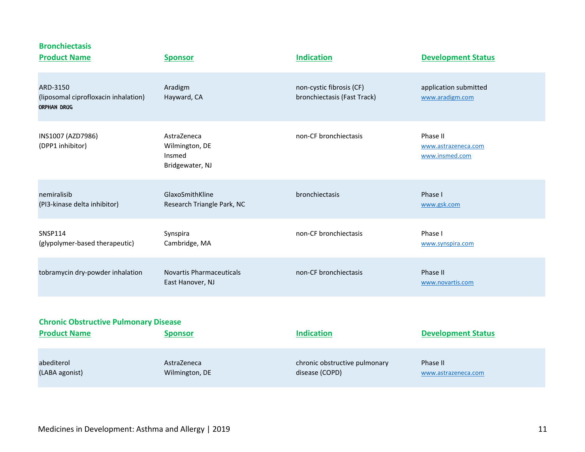| <b>Bronchiectasis</b><br><b>Product Name</b>                           | <b>Sponsor</b>                                             | <b>Indication</b>                                       | <b>Development Status</b>                         |
|------------------------------------------------------------------------|------------------------------------------------------------|---------------------------------------------------------|---------------------------------------------------|
| ARD-3150<br>(liposomal ciprofloxacin inhalation)<br><b>ORPHAN DRUG</b> | Aradigm<br>Hayward, CA                                     | non-cystic fibrosis (CF)<br>bronchiectasis (Fast Track) | application submitted<br>www.aradigm.com          |
| INS1007 (AZD7986)<br>(DPP1 inhibitor)                                  | AstraZeneca<br>Wilmington, DE<br>Insmed<br>Bridgewater, NJ | non-CF bronchiectasis                                   | Phase II<br>www.astrazeneca.com<br>www.insmed.com |
| nemiralisib<br>(PI3-kinase delta inhibitor)                            | GlaxoSmithKline<br>Research Triangle Park, NC              | bronchiectasis                                          | Phase I<br>www.gsk.com                            |
| <b>SNSP114</b><br>(glypolymer-based therapeutic)                       | Synspira<br>Cambridge, MA                                  | non-CF bronchiectasis                                   | Phase I<br>www.synspira.com                       |
| tobramycin dry-powder inhalation                                       | <b>Novartis Pharmaceuticals</b><br>East Hanover, NJ        | non-CF bronchiectasis                                   | Phase II<br>www.novartis.com                      |
|                                                                        |                                                            |                                                         |                                                   |
| <b>Chronic Obstructive Pulmonary Disease</b><br><b>Product Name</b>    | <b>Sponsor</b>                                             | <b>Indication</b>                                       | <b>Development Status</b>                         |
| abediterol<br>(LABA agonist)                                           | AstraZeneca<br>Wilmington, DE                              | chronic obstructive pulmonary<br>disease (COPD)         | Phase II<br>www.astrazeneca.com                   |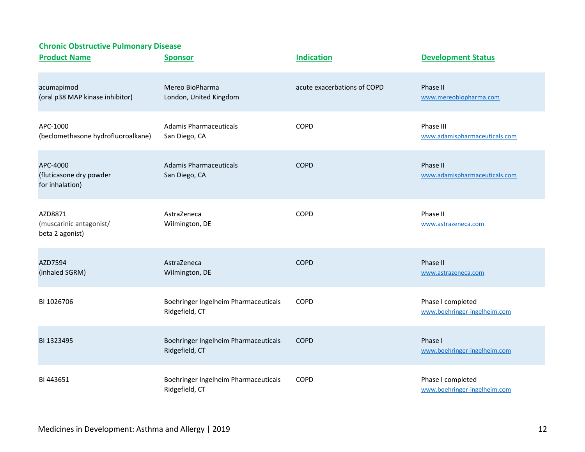| <b>Product Name</b>                                    | <b>Sponsor</b>                                         | <b>Indication</b>           | <b>Development Status</b>                         |
|--------------------------------------------------------|--------------------------------------------------------|-----------------------------|---------------------------------------------------|
| acumapimod<br>(oral p38 MAP kinase inhibitor)          | Mereo BioPharma<br>London, United Kingdom              | acute exacerbations of COPD | Phase II<br>www.mereobiopharma.com                |
| APC-1000<br>(beclomethasone hydrofluoroalkane)         | Adamis Pharmaceuticals<br>San Diego, CA                | <b>COPD</b>                 | Phase III<br>www.adamispharmaceuticals.com        |
| APC-4000<br>(fluticasone dry powder<br>for inhalation) | Adamis Pharmaceuticals<br>San Diego, CA                | <b>COPD</b>                 | Phase II<br>www.adamispharmaceuticals.com         |
| AZD8871<br>(muscarinic antagonist/<br>beta 2 agonist)  | AstraZeneca<br>Wilmington, DE                          | COPD                        | Phase II<br>www.astrazeneca.com                   |
| AZD7594<br>(inhaled SGRM)                              | AstraZeneca<br>Wilmington, DE                          | <b>COPD</b>                 | Phase II<br>www.astrazeneca.com                   |
| BI 1026706                                             | Boehringer Ingelheim Pharmaceuticals<br>Ridgefield, CT | COPD                        | Phase I completed<br>www.boehringer-ingelheim.com |
| BI 1323495                                             | Boehringer Ingelheim Pharmaceuticals<br>Ridgefield, CT | <b>COPD</b>                 | Phase I<br>www.boehringer-ingelheim.com           |
| BI443651                                               | Boehringer Ingelheim Pharmaceuticals<br>Ridgefield, CT | COPD                        | Phase I completed<br>www.boehringer-ingelheim.com |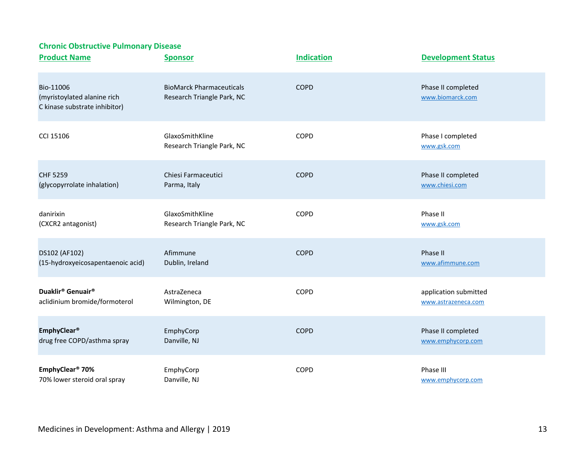| <b>Product Name</b>                                                       | <b>Sponsor</b>                                                | <b>Indication</b> | <b>Development Status</b>              |
|---------------------------------------------------------------------------|---------------------------------------------------------------|-------------------|----------------------------------------|
| Bio-11006<br>(myristoylated alanine rich<br>C kinase substrate inhibitor) | <b>BioMarck Pharmaceuticals</b><br>Research Triangle Park, NC | <b>COPD</b>       | Phase II completed<br>www.biomarck.com |
| CCI 15106                                                                 | GlaxoSmithKline<br>Research Triangle Park, NC                 | COPD              | Phase I completed<br>www.gsk.com       |
| <b>CHF 5259</b>                                                           | Chiesi Farmaceutici                                           | <b>COPD</b>       | Phase II completed                     |
| (glycopyrrolate inhalation)                                               | Parma, Italy                                                  |                   | www.chiesi.com                         |
| danirixin                                                                 | GlaxoSmithKline                                               | <b>COPD</b>       | Phase II                               |
| (CXCR2 antagonist)                                                        | Research Triangle Park, NC                                    |                   | www.gsk.com                            |
| DS102 (AF102)                                                             | Afimmune                                                      | <b>COPD</b>       | Phase II                               |
| (15-hydroxyeicosapentaenoic acid)                                         | Dublin, Ireland                                               |                   | www.afimmune.com                       |
| Duaklir <sup>®</sup> Genuair <sup>®</sup>                                 | AstraZeneca                                                   | COPD              | application submitted                  |
| aclidinium bromide/formoterol                                             | Wilmington, DE                                                |                   | www.astrazeneca.com                    |
| <b>EmphyClear®</b>                                                        | EmphyCorp                                                     | <b>COPD</b>       | Phase II completed                     |
| drug free COPD/asthma spray                                               | Danville, NJ                                                  |                   | www.emphycorp.com                      |
| EmphyClear <sup>®</sup> 70%                                               | EmphyCorp                                                     | COPD              | Phase III                              |
| 70% lower steroid oral spray                                              | Danville, NJ                                                  |                   | www.emphycorp.com                      |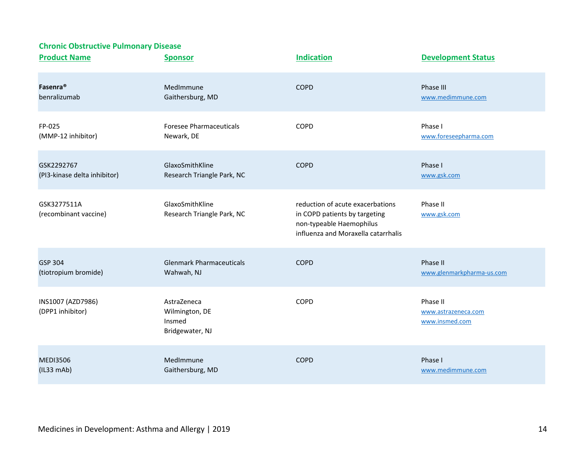| <b>Product Name</b>                   | <b>Sponsor</b>                                             | <b>Indication</b>                                                                                                                    | <b>Development Status</b>                         |
|---------------------------------------|------------------------------------------------------------|--------------------------------------------------------------------------------------------------------------------------------------|---------------------------------------------------|
| Fasenra <sup>®</sup>                  | MedImmune                                                  | <b>COPD</b>                                                                                                                          | Phase III                                         |
| benralizumab                          | Gaithersburg, MD                                           |                                                                                                                                      | www.medimmune.com                                 |
| FP-025                                | <b>Foresee Pharmaceuticals</b>                             | COPD                                                                                                                                 | Phase I                                           |
| (MMP-12 inhibitor)                    | Newark, DE                                                 |                                                                                                                                      | www.foreseepharma.com                             |
| GSK2292767                            | GlaxoSmithKline                                            | <b>COPD</b>                                                                                                                          | Phase I                                           |
| (PI3-kinase delta inhibitor)          | Research Triangle Park, NC                                 |                                                                                                                                      | www.gsk.com                                       |
| GSK3277511A<br>(recombinant vaccine)  | GlaxoSmithKline<br>Research Triangle Park, NC              | reduction of acute exacerbations<br>in COPD patients by targeting<br>non-typeable Haemophilus<br>influenza and Moraxella catarrhalis | Phase II<br>www.gsk.com                           |
| GSP 304                               | <b>Glenmark Pharmaceuticals</b>                            | <b>COPD</b>                                                                                                                          | Phase II                                          |
| (tiotropium bromide)                  | Wahwah, NJ                                                 |                                                                                                                                      | www.glenmarkpharma-us.com                         |
| INS1007 (AZD7986)<br>(DPP1 inhibitor) | AstraZeneca<br>Wilmington, DE<br>Insmed<br>Bridgewater, NJ | COPD                                                                                                                                 | Phase II<br>www.astrazeneca.com<br>www.insmed.com |
| <b>MEDI3506</b>                       | MedImmune                                                  | <b>COPD</b>                                                                                                                          | Phase I                                           |
| (IL33 mAb)                            | Gaithersburg, MD                                           |                                                                                                                                      | www.medimmune.com                                 |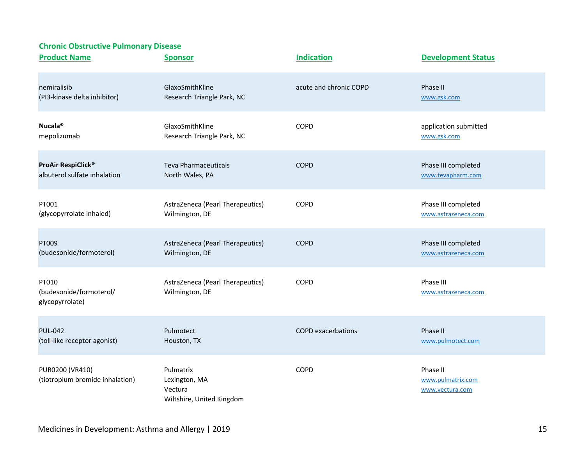| <b>Product Name</b>                                 | <b>Sponsor</b>                                                     | <b>Indication</b>         | <b>Development Status</b>                        |
|-----------------------------------------------------|--------------------------------------------------------------------|---------------------------|--------------------------------------------------|
| nemiralisib                                         | GlaxoSmithKline                                                    | acute and chronic COPD    | Phase II                                         |
| (PI3-kinase delta inhibitor)                        | Research Triangle Park, NC                                         |                           | www.gsk.com                                      |
| Nucala <sup>®</sup>                                 | GlaxoSmithKline                                                    | COPD                      | application submitted                            |
| mepolizumab                                         | Research Triangle Park, NC                                         |                           | www.gsk.com                                      |
| ProAir RespiClick®                                  | <b>Teva Pharmaceuticals</b>                                        | <b>COPD</b>               | Phase III completed                              |
| albuterol sulfate inhalation                        | North Wales, PA                                                    |                           | www.tevapharm.com                                |
| PT001                                               | AstraZeneca (Pearl Therapeutics)                                   | COPD                      | Phase III completed                              |
| (glycopyrrolate inhaled)                            | Wilmington, DE                                                     |                           | www.astrazeneca.com                              |
| PT009                                               | AstraZeneca (Pearl Therapeutics)                                   | <b>COPD</b>               | Phase III completed                              |
| (budesonide/formoterol)                             | Wilmington, DE                                                     |                           | www.astrazeneca.com                              |
| PT010<br>(budesonide/formoterol/<br>glycopyrrolate) | AstraZeneca (Pearl Therapeutics)<br>Wilmington, DE                 | COPD                      | Phase III<br>www.astrazeneca.com                 |
| <b>PUL-042</b>                                      | Pulmotect                                                          | <b>COPD</b> exacerbations | Phase II                                         |
| (toll-like receptor agonist)                        | Houston, TX                                                        |                           | www.pulmotect.com                                |
| PUR0200 (VR410)<br>(tiotropium bromide inhalation)  | Pulmatrix<br>Lexington, MA<br>Vectura<br>Wiltshire, United Kingdom | COPD                      | Phase II<br>www.pulmatrix.com<br>www.vectura.com |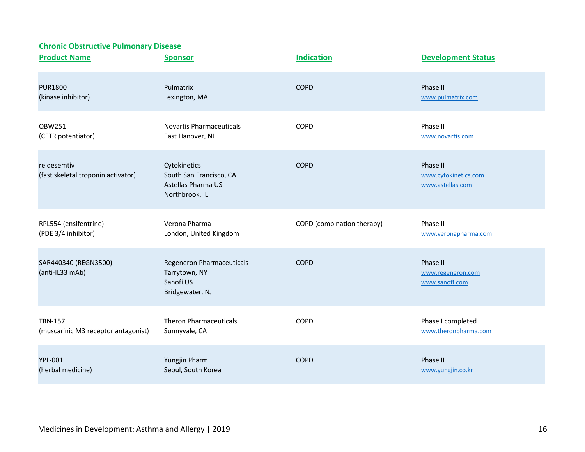| <b>Product Name</b>                               | <b>Sponsor</b>                                                                  | <b>Indication</b>          | <b>Development Status</b>                            |
|---------------------------------------------------|---------------------------------------------------------------------------------|----------------------------|------------------------------------------------------|
| <b>PUR1800</b>                                    | Pulmatrix                                                                       | <b>COPD</b>                | Phase II                                             |
| (kinase inhibitor)                                | Lexington, MA                                                                   |                            | www.pulmatrix.com                                    |
| QBW251                                            | <b>Novartis Pharmaceuticals</b>                                                 | COPD                       | Phase II                                             |
| (CFTR potentiator)                                | East Hanover, NJ                                                                |                            | www.novartis.com                                     |
| reldesemtiv<br>(fast skeletal troponin activator) | Cytokinetics<br>South San Francisco, CA<br>Astellas Pharma US<br>Northbrook, IL | <b>COPD</b>                | Phase II<br>www.cytokinetics.com<br>www.astellas.com |
| RPL554 (ensifentrine)                             | Verona Pharma                                                                   | COPD (combination therapy) | Phase II                                             |
| (PDE 3/4 inhibitor)                               | London, United Kingdom                                                          |                            | www.veronapharma.com                                 |
| SAR440340 (REGN3500)<br>(anti-IL33 mAb)           | Regeneron Pharmaceuticals<br>Tarrytown, NY<br>Sanofi US<br>Bridgewater, NJ      | <b>COPD</b>                | Phase II<br>www.regeneron.com<br>www.sanofi.com      |
| <b>TRN-157</b>                                    | <b>Theron Pharmaceuticals</b>                                                   | COPD                       | Phase I completed                                    |
| (muscarinic M3 receptor antagonist)               | Sunnyvale, CA                                                                   |                            | www.theronpharma.com                                 |
| <b>YPL-001</b>                                    | Yungjin Pharm                                                                   | <b>COPD</b>                | Phase II                                             |
| (herbal medicine)                                 | Seoul, South Korea                                                              |                            | www.yungjin.co.kr                                    |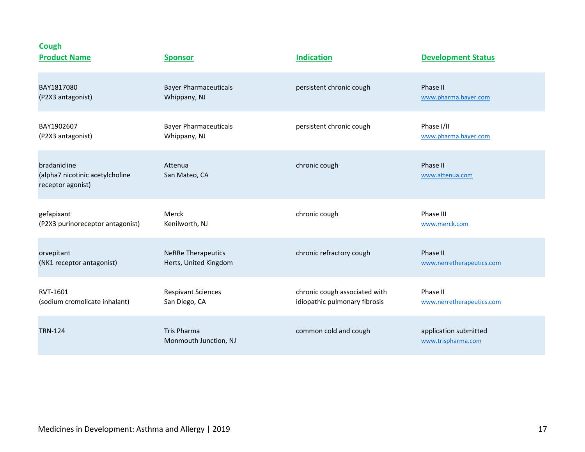| <b>Cough</b><br><b>Product Name</b>                                  | <b>Sponsor</b>                              | <b>Indication</b>             | <b>Development Status</b>                   |
|----------------------------------------------------------------------|---------------------------------------------|-------------------------------|---------------------------------------------|
| BAY1817080                                                           | <b>Bayer Pharmaceuticals</b>                | persistent chronic cough      | Phase II                                    |
| (P2X3 antagonist)                                                    | Whippany, NJ                                |                               | www.pharma.bayer.com                        |
| BAY1902607                                                           | <b>Bayer Pharmaceuticals</b>                | persistent chronic cough      | Phase I/II                                  |
| (P2X3 antagonist)                                                    | Whippany, NJ                                |                               | www.pharma.bayer.com                        |
| bradanicline<br>(alpha7 nicotinic acetylcholine<br>receptor agonist) | Attenua<br>San Mateo, CA                    | chronic cough                 | Phase II<br>www.attenua.com                 |
| gefapixant                                                           | Merck                                       | chronic cough                 | Phase III                                   |
| (P2X3 purinoreceptor antagonist)                                     | Kenilworth, NJ                              |                               | www.merck.com                               |
| orvepitant                                                           | <b>NeRRe Therapeutics</b>                   | chronic refractory cough      | Phase II                                    |
| (NK1 receptor antagonist)                                            | Herts, United Kingdom                       |                               | www.nerretherapeutics.com                   |
| RVT-1601                                                             | <b>Respivant Sciences</b>                   | chronic cough associated with | Phase II                                    |
| (sodium cromolicate inhalant)                                        | San Diego, CA                               | idiopathic pulmonary fibrosis | www.nerretherapeutics.com                   |
| <b>TRN-124</b>                                                       | <b>Tris Pharma</b><br>Monmouth Junction, NJ | common cold and cough         | application submitted<br>www.trispharma.com |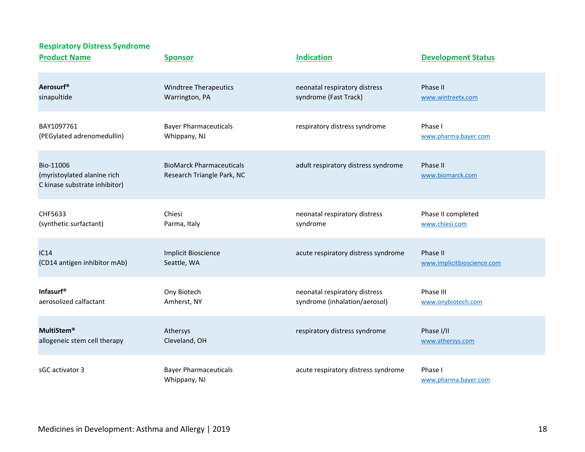#### **Respiratory Distress Syndrome**

| <b>Product Name</b>                                                       | <b>Sponsor</b>                                                | <b>Indication</b>                   | <b>Development Status</b>       |
|---------------------------------------------------------------------------|---------------------------------------------------------------|-------------------------------------|---------------------------------|
| Aerosurf <sup>®</sup>                                                     | <b>Windtree Therapeutics</b>                                  | neonatal respiratory distress       | Phase II                        |
| sinapultide                                                               | Warrington, PA                                                | syndrome (Fast Track)               | www.wintreetx.com               |
| BAY1097761                                                                | <b>Bayer Pharmaceuticals</b>                                  | respiratory distress syndrome       | Phase I                         |
| (PEGylated adrenomedullin)                                                | Whippany, NJ                                                  |                                     | www.pharma.bayer.com            |
| Bio-11006<br>(myristoylated alanine rich<br>C kinase substrate inhibitor) | <b>BioMarck Pharmaceuticals</b><br>Research Triangle Park, NC | adult respiratory distress syndrome | Phase II<br>www.biomarck.com    |
| CHF5633                                                                   | Chiesi                                                        | neonatal respiratory distress       | Phase II completed              |
| (synthetic surfactant)                                                    | Parma, Italy                                                  | syndrome                            | www.chiesi.com                  |
| IC14                                                                      | <b>Implicit Bioscience</b>                                    | acute respiratory distress syndrome | Phase II                        |
| (CD14 antigen inhibitor mAb)                                              | Seattle, WA                                                   |                                     | www.implicitbioscience.com      |
| <b>Infasurf®</b>                                                          | Ony Biotech                                                   | neonatal respiratory distress       | Phase III                       |
| aerosolized calfactant                                                    | Amherst, NY                                                   | syndrome (inhalation/aerosol)       | www.onybiotech.com              |
| <b>MultiStem®</b>                                                         | Athersys                                                      | respiratory distress syndrome       | Phase I/II                      |
| allogeneic stem cell therapy                                              | Cleveland, OH                                                 |                                     | www.athersys.com                |
| sGC activator 3                                                           | <b>Bayer Pharmaceuticals</b><br>Whippany, NJ                  | acute respiratory distress syndrome | Phase I<br>www.pharma.bayer.com |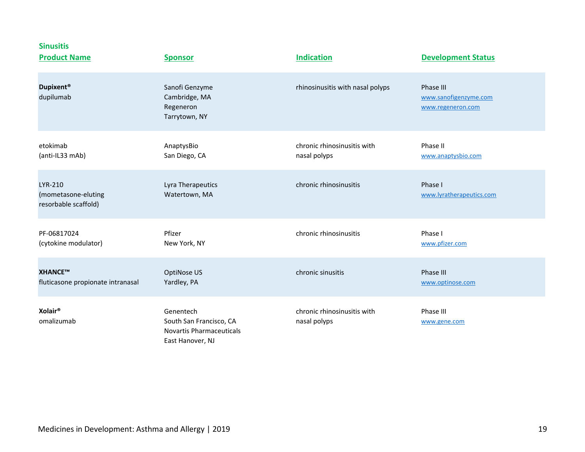| <b>Sinusitis</b><br><b>Product Name</b>                | <b>Sponsor</b>                                                                              | <b>Indication</b>                           | <b>Development Status</b>                               |
|--------------------------------------------------------|---------------------------------------------------------------------------------------------|---------------------------------------------|---------------------------------------------------------|
| Dupixent <sup>®</sup><br>dupilumab                     | Sanofi Genzyme<br>Cambridge, MA<br>Regeneron<br>Tarrytown, NY                               | rhinosinusitis with nasal polyps            | Phase III<br>www.sanofigenzyme.com<br>www.regeneron.com |
| etokimab<br>(anti-IL33 mAb)                            | AnaptysBio<br>San Diego, CA                                                                 | chronic rhinosinusitis with<br>nasal polyps | Phase II<br>www.anaptysbio.com                          |
| LYR-210<br>(mometasone-eluting<br>resorbable scaffold) | Lyra Therapeutics<br>Watertown, MA                                                          | chronic rhinosinusitis                      | Phase I<br>www.lyratherapeutics.com                     |
| PF-06817024<br>(cytokine modulator)                    | Pfizer<br>New York, NY                                                                      | chronic rhinosinusitis                      | Phase I<br>www.pfizer.com                               |
| XHANCE™<br>fluticasone propionate intranasal           | OptiNose US<br>Yardley, PA                                                                  | chronic sinusitis                           | Phase III<br>www.optinose.com                           |
| Xolair <sup>®</sup><br>omalizumab                      | Genentech<br>South San Francisco, CA<br><b>Novartis Pharmaceuticals</b><br>East Hanover, NJ | chronic rhinosinusitis with<br>nasal polyps | Phase III<br>www.gene.com                               |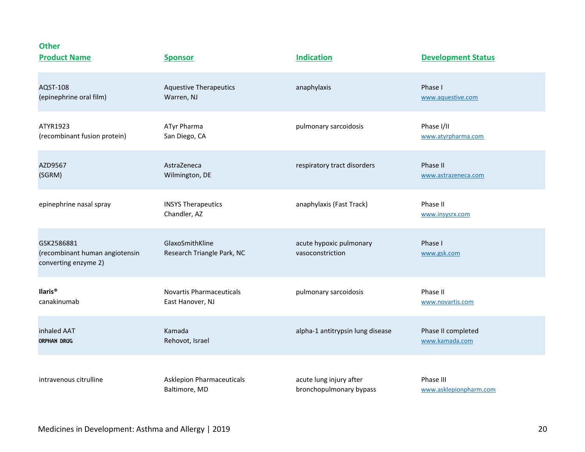#### **Other**

| <b>Product Name</b>                                                  | <b>Sponsor</b>                                | <b>Indication</b>                           | <b>Development Status</b>   |
|----------------------------------------------------------------------|-----------------------------------------------|---------------------------------------------|-----------------------------|
| AQST-108                                                             | <b>Aquestive Therapeutics</b>                 | anaphylaxis                                 | Phase I                     |
| (epinephrine oral film)                                              | Warren, NJ                                    |                                             | www.aquestive.com           |
| ATYR1923                                                             | ATyr Pharma                                   | pulmonary sarcoidosis                       | Phase I/II                  |
| (recombinant fusion protein)                                         | San Diego, CA                                 |                                             | www.atyrpharma.com          |
| AZD9567                                                              | AstraZeneca                                   | respiratory tract disorders                 | Phase II                    |
| (SGRM)                                                               | Wilmington, DE                                |                                             | www.astrazeneca.com         |
| epinephrine nasal spray                                              | <b>INSYS Therapeutics</b><br>Chandler, AZ     | anaphylaxis (Fast Track)                    | Phase II<br>www.insysrx.com |
| GSK2586881<br>(recombinant human angiotensin<br>converting enzyme 2) | GlaxoSmithKline<br>Research Triangle Park, NC | acute hypoxic pulmonary<br>vasoconstriction | Phase I<br>www.gsk.com      |
| llaris <sup>®</sup>                                                  | <b>Novartis Pharmaceuticals</b>               | pulmonary sarcoidosis                       | Phase II                    |
| canakinumab                                                          | East Hanover, NJ                              |                                             | www.novartis.com            |
| inhaled AAT                                                          | Kamada                                        | alpha-1 antitrypsin lung disease            | Phase II completed          |
| <b>ORPHAN DRUG</b>                                                   | Rehovot, Israel                               |                                             | www.kamada.com              |
| intravenous citrulline                                               | <b>Asklepion Pharmaceuticals</b>              | acute lung injury after                     | Phase III                   |
|                                                                      | Baltimore, MD                                 | bronchopulmonary bypass                     | www.asklepionpharm.com      |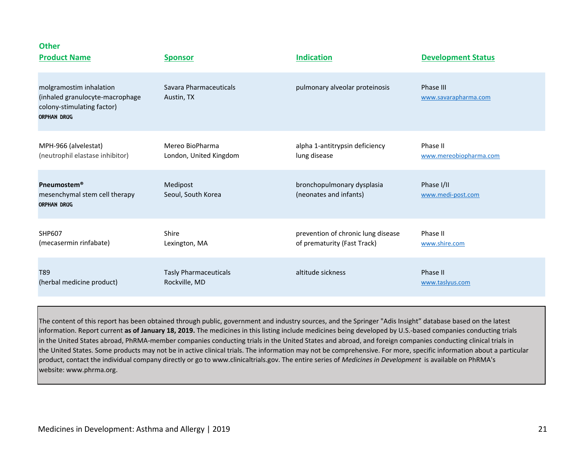| other<br><b>Product Name</b>                                                                                   | <b>Sponsor</b>                       | <b>Indication</b>                                    | <b>Development Status</b>         |
|----------------------------------------------------------------------------------------------------------------|--------------------------------------|------------------------------------------------------|-----------------------------------|
| molgramostim inhalation<br>(inhaled granulocyte-macrophage<br>colony-stimulating factor)<br><b>ORPHAN DRUG</b> | Savara Pharmaceuticals<br>Austin, TX | pulmonary alveolar proteinosis                       | Phase III<br>www.savarapharma.com |
| MPH-966 (alvelestat)                                                                                           | Mereo BioPharma                      | alpha 1-antitrypsin deficiency                       | Phase II                          |
| (neutrophil elastase inhibitor)                                                                                | London, United Kingdom               | lung disease                                         | www.mereobiopharma.com            |
| <b>Pneumostem®</b><br>mesenchymal stem cell therapy<br><b>ORPHAN DRUG</b>                                      | Medipost<br>Seoul, South Korea       | bronchopulmonary dysplasia<br>(neonates and infants) | Phase I/II<br>www.medi-post.com   |
| <b>SHP607</b>                                                                                                  | Shire                                | prevention of chronic lung disease                   | Phase II                          |
| (mecasermin rinfabate)                                                                                         | Lexington, MA                        | of prematurity (Fast Track)                          | www.shire.com                     |
| T89                                                                                                            | <b>Tasly Pharmaceuticals</b>         | altitude sickness                                    | Phase II                          |
| (herbal medicine product)                                                                                      | Rockville, MD                        |                                                      | www.taslyus.com                   |

The content of this report has been obtained through public, government and industry sources, and the Springer "Adis Insight" database based on the latest information. Report current **as of January 18, 2019.** The medicines in this listing include medicines being developed by U.S.-based companies conducting trials in the United States abroad, PhRMA-member companies conducting trials in the United States and abroad, and foreign companies conducting clinical trials in the United States. Some products may not be in active clinical trials. The information may not be comprehensive. For more, specific information about a particular product, contact the individual company directly or go to www.clinicaltrials.gov. The entire series of *Medicines in Development* is available on PhRMA's website: www.phrma.org.

**Other**